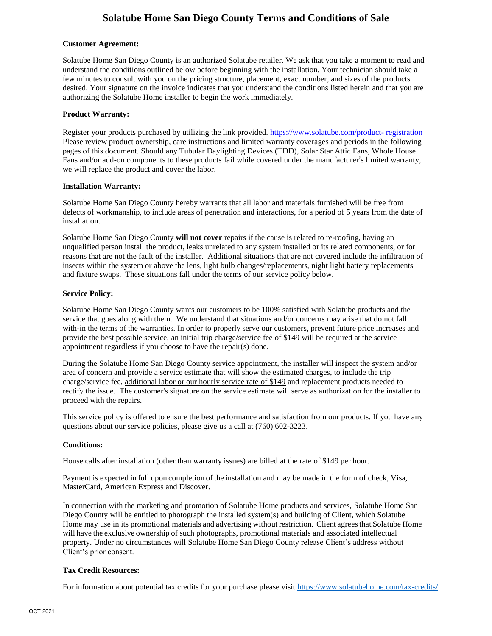# **Solatube Home San Diego County Terms and Conditions of Sale**

# **Customer Agreement:**

Solatube Home San Diego County is an authorized Solatube retailer. We ask that you take a moment to read and understand the conditions outlined below before beginning with the installation. Your technician should take a few minutes to consult with you on the pricing structure, placement, exact number, and sizes of the products desired. Your signature on the invoice indicates that you understand the conditions listed herein and that you are authorizing the Solatube Home installer to begin the work immediately.

## **Product Warranty:**

Register your products purchased by utilizing the link provided. [https://www.solatube.com/product-](https://www.solatube.com/product-registration) [registration](https://www.solatube.com/product-registration) Please review product ownership, care instructions and limited warranty coverages and periods in the following pages of this document. Should any Tubular Daylighting Devices (TDD), Solar Star Attic Fans, Whole House Fans and/or add-on components to these products fail while covered under the manufacturer's limited warranty, we will replace the product and cover the labor.

# **Installation Warranty:**

Solatube Home San Diego County hereby warrants that all labor and materials furnished will be free from defects of workmanship, to include areas of penetration and interactions, for a period of 5 years from the date of installation.

Solatube Home San Diego County **will not cover** repairs if the cause is related to re-roofing, having an unqualified person install the product, leaks unrelated to any system installed or its related components, or for reasons that are not the fault of the installer. Additional situations that are not covered include the infiltration of insects within the system or above the lens, light bulb changes/replacements, night light battery replacements and fixture swaps. These situations fall under the terms of our service policy below.

# **Service Policy:**

Solatube Home San Diego County wants our customers to be 100% satisfied with Solatube products and the service that goes along with them. We understand that situations and/or concerns may arise that do not fall with-in the terms of the warranties. In order to properly serve our customers, prevent future price increases and provide the best possible service, an initial trip charge/service fee of \$149 will be required at the service appointment regardless if you choose to have the repair(s) done.

During the Solatube Home San Diego County service appointment, the installer will inspect the system and/or area of concern and provide a service estimate that will show the estimated charges, to include the trip charge/service fee, additional labor or our hourly service rate of \$149 and replacement products needed to rectify the issue. The customer's signature on the service estimate will serve as authorization for the installer to proceed with the repairs.

This service policy is offered to ensure the best performance and satisfaction from our products. If you have any questions about our service policies, please give us a call at (760) 602-3223.

# **Conditions:**

House calls after installation (other than warranty issues) are billed at the rate of \$149 per hour.

Payment is expected in full upon completion of the installation and may be made in the form of check, Visa, MasterCard, American Express and Discover.

In connection with the marketing and promotion of Solatube Home products and services, Solatube Home San Diego County will be entitled to photograph the installed system(s) and building of Client, which Solatube Home may use in its promotional materials and advertising without restriction. Client agrees that Solatube Home will have the exclusive ownership of such photographs, promotional materials and associated intellectual property. Under no circumstances will Solatube Home San Diego County release Client's address without Client's prior consent.

# **Tax Credit Resources:**

For information about potential tax credits for your purchase please visit [https://www.solatubehome.com/tax-](http://www.solatubehome.com/tax-credits/)credits/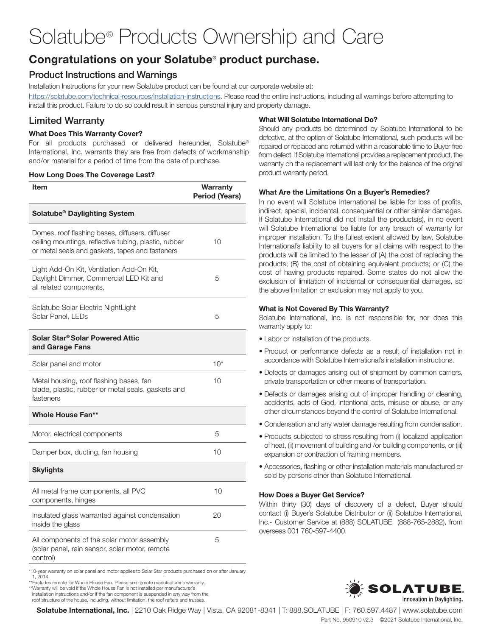# Solatube® Products Ownership and Care

# Congratulations on your Solatube® product purchase.

# Product Instructions and Warnings

Installation Instructions for your new Solatube product can be found at our corporate website at:

https://solatube.com/technical-resources/installation-instructions. Please read the entire instructions, including all warnings before attempting to install this product. Failure to do so could result in serious personal injury and property damage.

# Limited Warranty

# What Does This Warranty Cover?

For all products purchased or delivered hereunder, Solatube® International, Inc. warrants they are free from defects of workmanship and/or material for a period of time from the date of purchase.

# How Long Does The Coverage Last?

| Item                                                                                                                                                        | Warranty<br><b>Period (Years)</b> |
|-------------------------------------------------------------------------------------------------------------------------------------------------------------|-----------------------------------|
| Solatube <sup>®</sup> Daylighting System                                                                                                                    |                                   |
| Domes, roof flashing bases, diffusers, diffuser<br>ceiling mountings, reflective tubing, plastic, rubber<br>or metal seals and gaskets, tapes and fasteners | 10                                |
| Light Add-On Kit, Ventilation Add-On Kit,<br>Daylight Dimmer, Commercial LED Kit and<br>all related components,                                             | 5                                 |
| Solatube Solar Electric NightLight<br>Solar Panel, LEDs                                                                                                     | 5                                 |
| Solar Star® Solar Powered Attic<br>and Garage Fans                                                                                                          |                                   |
| Solar panel and motor                                                                                                                                       | $10*$                             |
| Metal housing, roof flashing bases, fan<br>blade, plastic, rubber or metal seals, gaskets and<br>fasteners                                                  | 10                                |
| <b>Whole House Fan**</b>                                                                                                                                    |                                   |
| Motor, electrical components                                                                                                                                | 5                                 |
| Damper box, ducting, fan housing                                                                                                                            | 10                                |
| <b>Skylights</b>                                                                                                                                            |                                   |
| All metal frame components, all PVC<br>components, hinges                                                                                                   | 10                                |
| Insulated glass warranted against condensation<br>inside the glass                                                                                          | 20                                |
| All components of the solar motor assembly<br>(solar panel, rain sensor, solar motor, remote<br>control)                                                    | 5                                 |

\*10-year warranty on solar panel and motor applies to Solar Star products purchased on or after January 1, 2014

\*\*Excludes remote for Whole House Fan. Please see remote manufacturer's warranty. \*\*Warranty will be void if the Whole House Fan is not installed per manufacturer's

installation instructions and/or if the fan component is suspended in any way from the roof structure of the house, including, without limitation, the roof rafters and trusses.

# What Will Solatube International Do?

Should any products be determined by Solatube International to be defective, at the option of Solatube International, such products will be repaired or replaced and returned within a reasonable time to Buyer free from defect. If Solatube International provides a replacement product, the warranty on the replacement will last only for the balance of the original product warranty period.

# What Are the Limitations On a Buyer's Remedies?

In no event will Solatube International be liable for loss of profits, indirect, special, incidental, consequential or other similar damages. If Solatube International did not install the products(s), in no event will Solatube International be liable for any breach of warranty for improper installation. To the fullest extent allowed by law, Solatube International's liability to all buyers for all claims with respect to the products will be limited to the lesser of (A) the cost of replacing the products; (B) the cost of obtaining equivalent products; or (C) the cost of having products repaired. Some states do not allow the exclusion of limitation of incidental or consequential damages, so the above limitation or exclusion may not apply to you.

# What is Not Covered By This Warranty?

Solatube International, Inc. is not responsible for, nor does this warranty apply to:

- Labor or installation of the products.
- Product or performance defects as a result of installation not in accordance with Solatube International's installation instructions.
- Defects or damages arising out of shipment by common carriers, private transportation or other means of transportation.
- Defects or damages arising out of improper handling or cleaning, accidents, acts of God, intentional acts, misuse or abuse, or any other circumstances beyond the control of Solatube International.
- Condensation and any water damage resulting from condensation.
- Products subjected to stress resulting from (i) localized application of heat, (ii) movement of building and /or building components, or (iii) expansion or contraction of framing members.
- Accessories, flashing or other installation materials manufactured or sold by persons other than Solatube International.

# How Does a Buyer Get Service?

Within thirty (30) days of discovery of a defect, Buyer should contact (i) Buyer's Solatube Distributor or (ii) Solatube International, Inc.- Customer Service at (888) SOLATUBE (888-765-2882), from overseas 001 760-597-4400.



Solatube International, Inc. | 2210 Oak Ridge Way | Vista, CA 92081-8341 | T: 888.SOLATUBE | F: 760.597.4487 | www.solatube.com Part No. 950910 v2.3 ©2021 Solatube International, Inc.